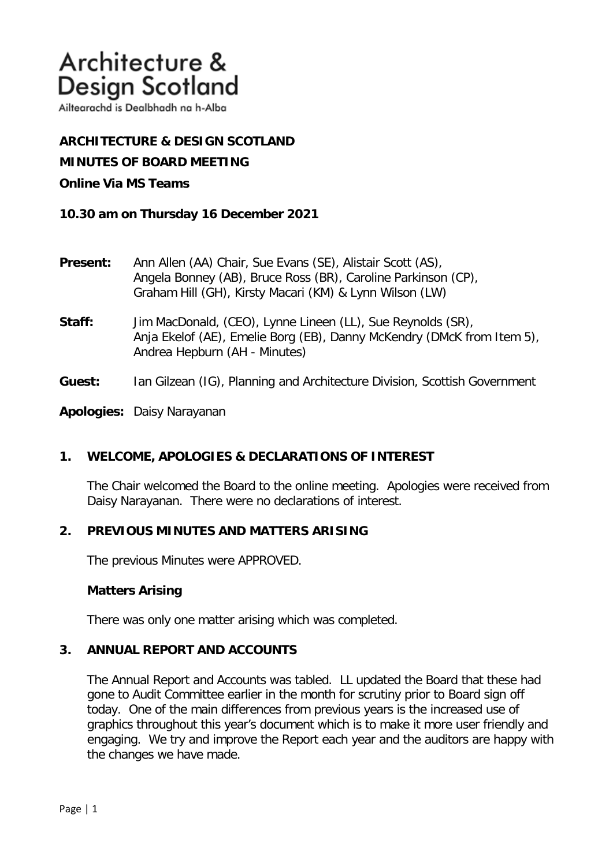Ailtearachd is Dealbhadh na h-Alba

**ARCHITECTURE & DESIGN SCOTLAND MINUTES OF BOARD MEETING** 

# **Online Via MS Teams**

**10.30 am on Thursday 16 December 2021**

- **Present:** Ann Allen (AA) Chair, Sue Evans (SE), Alistair Scott (AS), Angela Bonney (AB), Bruce Ross (BR), Caroline Parkinson (CP), Graham Hill (GH), Kirsty Macari (KM) & Lynn Wilson (LW)
- **Staff:** Jim MacDonald, (CEO), Lynne Lineen (LL), Sue Reynolds (SR), Anja Ekelof (AE), Emelie Borg (EB), Danny McKendry (DMcK from Item 5), Andrea Hepburn (AH - Minutes)
- **Guest:** Ian Gilzean (IG), Planning and Architecture Division, Scottish Government

**Apologies:** Daisy Narayanan

# **1. WELCOME, APOLOGIES & DECLARATIONS OF INTEREST**

The Chair welcomed the Board to the online meeting. Apologies were received from Daisy Narayanan. There were no declarations of interest.

## **2. PREVIOUS MINUTES AND MATTERS ARISING**

The previous Minutes were APPROVED.

## **Matters Arising**

There was only one matter arising which was completed.

## **3. ANNUAL REPORT AND ACCOUNTS**

The Annual Report and Accounts was tabled. LL updated the Board that these had gone to Audit Committee earlier in the month for scrutiny prior to Board sign off today. One of the main differences from previous years is the increased use of graphics throughout this year's document which is to make it more user friendly and engaging. We try and improve the Report each year and the auditors are happy with the changes we have made.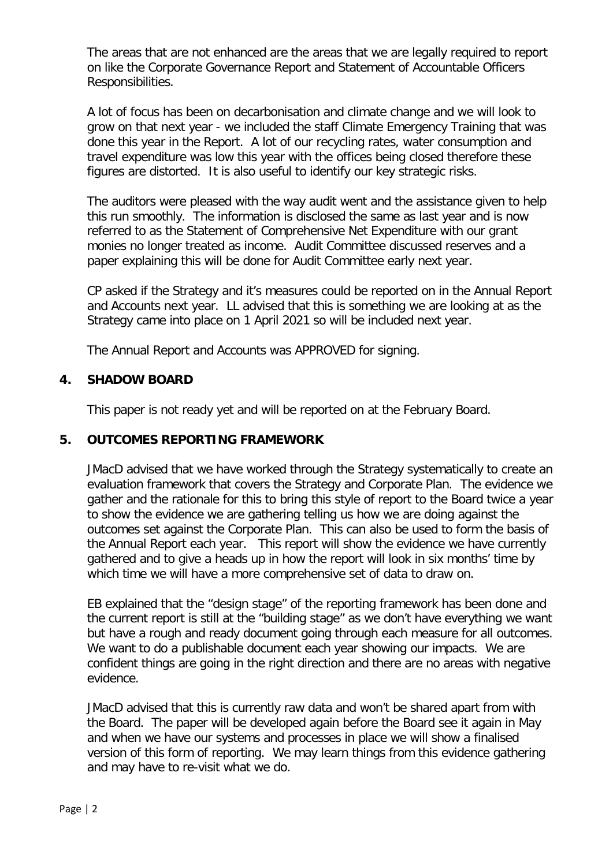The areas that are not enhanced are the areas that we are legally required to report on like the Corporate Governance Report and Statement of Accountable Officers Responsibilities.

A lot of focus has been on decarbonisation and climate change and we will look to grow on that next year - we included the staff Climate Emergency Training that was done this year in the Report. A lot of our recycling rates, water consumption and travel expenditure was low this year with the offices being closed therefore these figures are distorted. It is also useful to identify our key strategic risks.

The auditors were pleased with the way audit went and the assistance given to help this run smoothly. The information is disclosed the same as last year and is now referred to as the Statement of Comprehensive Net Expenditure with our grant monies no longer treated as income. Audit Committee discussed reserves and a paper explaining this will be done for Audit Committee early next year.

CP asked if the Strategy and it's measures could be reported on in the Annual Report and Accounts next year. LL advised that this is something we are looking at as the Strategy came into place on 1 April 2021 so will be included next year.

The Annual Report and Accounts was APPROVED for signing.

# **4. SHADOW BOARD**

This paper is not ready yet and will be reported on at the February Board.

# **5. OUTCOMES REPORTING FRAMEWORK**

JMacD advised that we have worked through the Strategy systematically to create an evaluation framework that covers the Strategy and Corporate Plan. The evidence we gather and the rationale for this to bring this style of report to the Board twice a year to show the evidence we are gathering telling us how we are doing against the outcomes set against the Corporate Plan. This can also be used to form the basis of the Annual Report each year. This report will show the evidence we have currently gathered and to give a heads up in how the report will look in six months' time by which time we will have a more comprehensive set of data to draw on.

EB explained that the "design stage" of the reporting framework has been done and the current report is still at the "building stage" as we don't have everything we want but have a rough and ready document going through each measure for all outcomes. We want to do a publishable document each year showing our impacts. We are confident things are going in the right direction and there are no areas with negative evidence.

JMacD advised that this is currently raw data and won't be shared apart from with the Board. The paper will be developed again before the Board see it again in May and when we have our systems and processes in place we will show a finalised version of this form of reporting. We may learn things from this evidence gathering and may have to re-visit what we do.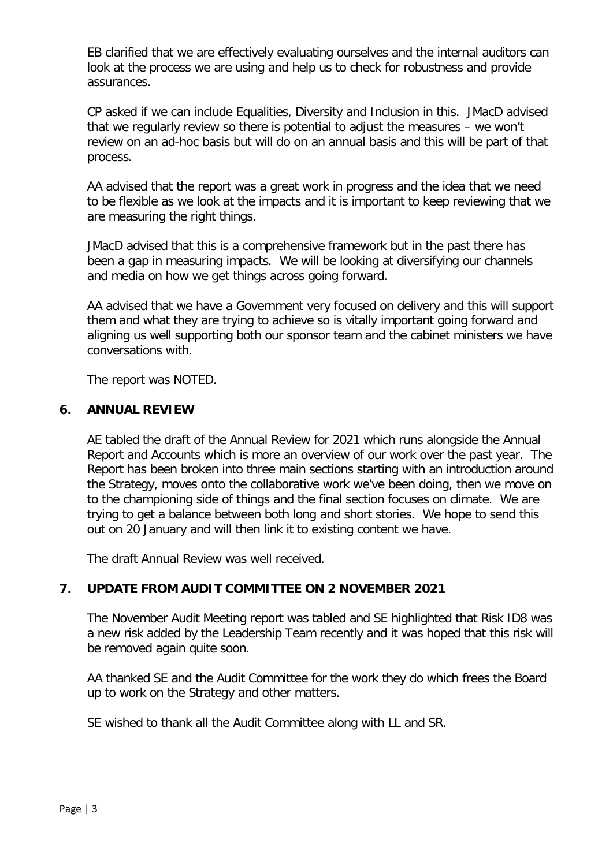EB clarified that we are effectively evaluating ourselves and the internal auditors can look at the process we are using and help us to check for robustness and provide assurances.

CP asked if we can include Equalities, Diversity and Inclusion in this. JMacD advised that we regularly review so there is potential to adjust the measures – we won't review on an ad-hoc basis but will do on an annual basis and this will be part of that process.

AA advised that the report was a great work in progress and the idea that we need to be flexible as we look at the impacts and it is important to keep reviewing that we are measuring the right things.

JMacD advised that this is a comprehensive framework but in the past there has been a gap in measuring impacts. We will be looking at diversifying our channels and media on how we get things across going forward.

AA advised that we have a Government very focused on delivery and this will support them and what they are trying to achieve so is vitally important going forward and aligning us well supporting both our sponsor team and the cabinet ministers we have conversations with.

The report was NOTED.

### **6. ANNUAL REVIEW**

AE tabled the draft of the Annual Review for 2021 which runs alongside the Annual Report and Accounts which is more an overview of our work over the past year. The Report has been broken into three main sections starting with an introduction around the Strategy, moves onto the collaborative work we've been doing, then we move on to the championing side of things and the final section focuses on climate. We are trying to get a balance between both long and short stories. We hope to send this out on 20 January and will then link it to existing content we have.

The draft Annual Review was well received.

# **7. UPDATE FROM AUDIT COMMITTEE ON 2 NOVEMBER 2021**

The November Audit Meeting report was tabled and SE highlighted that Risk ID8 was a new risk added by the Leadership Team recently and it was hoped that this risk will be removed again quite soon.

AA thanked SE and the Audit Committee for the work they do which frees the Board up to work on the Strategy and other matters.

SE wished to thank all the Audit Committee along with LL and SR.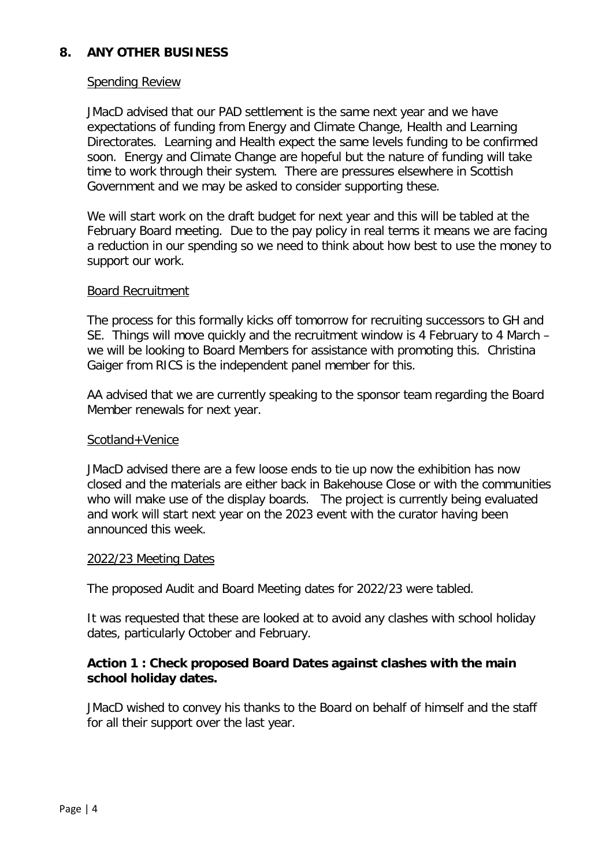# **8. ANY OTHER BUSINESS**

#### Spending Review

JMacD advised that our PAD settlement is the same next year and we have expectations of funding from Energy and Climate Change, Health and Learning Directorates. Learning and Health expect the same levels funding to be confirmed soon. Energy and Climate Change are hopeful but the nature of funding will take time to work through their system. There are pressures elsewhere in Scottish Government and we may be asked to consider supporting these.

We will start work on the draft budget for next year and this will be tabled at the February Board meeting. Due to the pay policy in real terms it means we are facing a reduction in our spending so we need to think about how best to use the money to support our work.

### Board Recruitment

The process for this formally kicks off tomorrow for recruiting successors to GH and SE. Things will move quickly and the recruitment window is 4 February to 4 March – we will be looking to Board Members for assistance with promoting this. Christina Gaiger from RICS is the independent panel member for this.

AA advised that we are currently speaking to the sponsor team regarding the Board Member renewals for next year.

### Scotland+Venice

JMacD advised there are a few loose ends to tie up now the exhibition has now closed and the materials are either back in Bakehouse Close or with the communities who will make use of the display boards. The project is currently being evaluated and work will start next year on the 2023 event with the curator having been announced this week.

#### 2022/23 Meeting Dates

The proposed Audit and Board Meeting dates for 2022/23 were tabled.

It was requested that these are looked at to avoid any clashes with school holiday dates, particularly October and February.

## **Action 1 : Check proposed Board Dates against clashes with the main school holiday dates.**

JMacD wished to convey his thanks to the Board on behalf of himself and the staff for all their support over the last year.